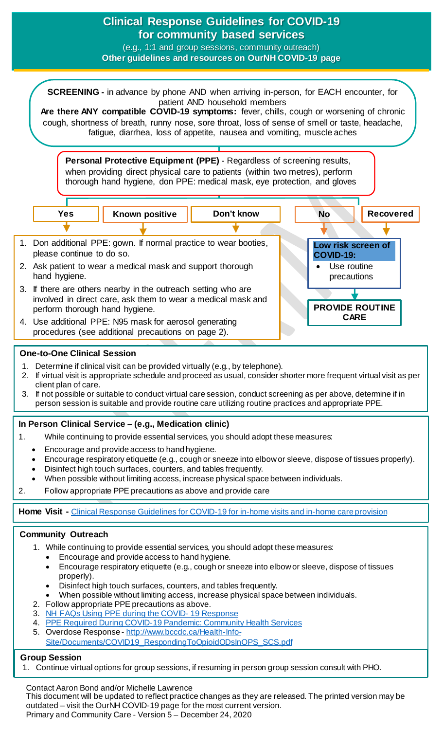

- Disinfect high touch surfaces, counters, and tables frequently.
- When possible without limiting access, increase physical space between individuals.
- 2. Follow appropriate PPE precautions as above.
- 3. [NH FAQs Using PPE during the COVID-](https://ournh.northernhealth.ca/oursites/communications/OurNH%20Communications%20Documents/ppe-faqs.pdf)19 Response
- 4. [PPE Required During COVID-19 Pandemic: Community Health Services](https://ournh.northernhealth.ca/oursites/communications/OurNH%20Communications%20Documents/ppe-use-in-community-health-services.pdf)
- 5. Overdose Response [http://www.bccdc.ca/Health-Info-](http://www.bccdc.ca/Health-Info-Site/Documents/COVID19_RespondingToOpioidODsInOPS_SCS.pdf)
- [Site/Documents/COVID19\\_RespondingToOpioidODsInOPS\\_SCS.pdf](http://www.bccdc.ca/Health-Info-Site/Documents/COVID19_RespondingToOpioidODsInOPS_SCS.pdf)

## **Group Session**

1. Continue virtual options for group sessions, if resuming in person group session consult with PHO.

Contact Aaron Bond and/or Michelle Lawrence This document will be updated to reflect practice changes as they are released. The printed version may be outdated – visit the OurNH COVID-19 page for the most current version. Primary and Community Care - Version 5 – December 24, 2020